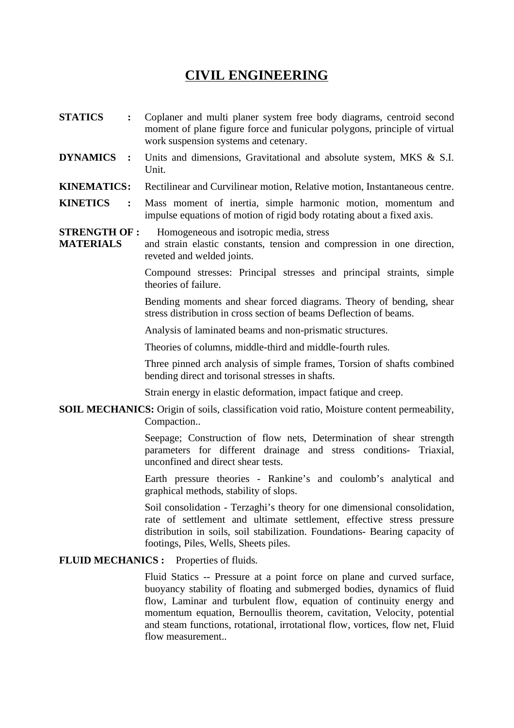## **CIVIL ENGINEERING**

- **STATICS :** Coplaner and multi planer system free body diagrams, centroid second moment of plane figure force and funicular polygons, principle of virtual work suspension systems and cetenary.
- **DYNAMICS :** Units and dimensions, Gravitational and absolute system, MKS & S.I. Unit.

## **KINEMATICS:** Rectilinear and Curvilinear motion, Relative motion, Instantaneous centre.

- **KINETICS :** Mass moment of inertia, simple harmonic motion, momentum and impulse equations of motion of rigid body rotating about a fixed axis.
- **STRENGTH OF :** Homogeneous and isotropic media, stress
- **MATERIALS** and strain elastic constants, tension and compression in one direction, reveted and welded joints.

Compound stresses: Principal stresses and principal straints, simple theories of failure.

Bending moments and shear forced diagrams. Theory of bending, shear stress distribution in cross section of beams Deflection of beams.

Analysis of laminated beams and non-prismatic structures.

Theories of columns, middle-third and middle-fourth rules.

Three pinned arch analysis of simple frames, Torsion of shafts combined bending direct and torisonal stresses in shafts.

Strain energy in elastic deformation, impact fatique and creep.

**SOIL MECHANICS:** Origin of soils, classification void ratio, Moisture content permeability, Compaction..

> Seepage; Construction of flow nets, Determination of shear strength parameters for different drainage and stress conditions- Triaxial, unconfined and direct shear tests.

> Earth pressure theories - Rankine's and coulomb's analytical and graphical methods, stability of slops.

> Soil consolidation - Terzaghi's theory for one dimensional consolidation, rate of settlement and ultimate settlement, effective stress pressure distribution in soils, soil stabilization. Foundations- Bearing capacity of footings, Piles, Wells, Sheets piles.

## **FLUID MECHANICS :** Properties of fluids.

Fluid Statics -- Pressure at a point force on plane and curved surface, buoyancy stability of floating and submerged bodies, dynamics of fluid flow, Laminar and turbulent flow, equation of continuity energy and momentum equation, Bernoullis theorem, cavitation, Velocity, potential and steam functions, rotational, irrotational flow, vortices, flow net, Fluid flow measurement..